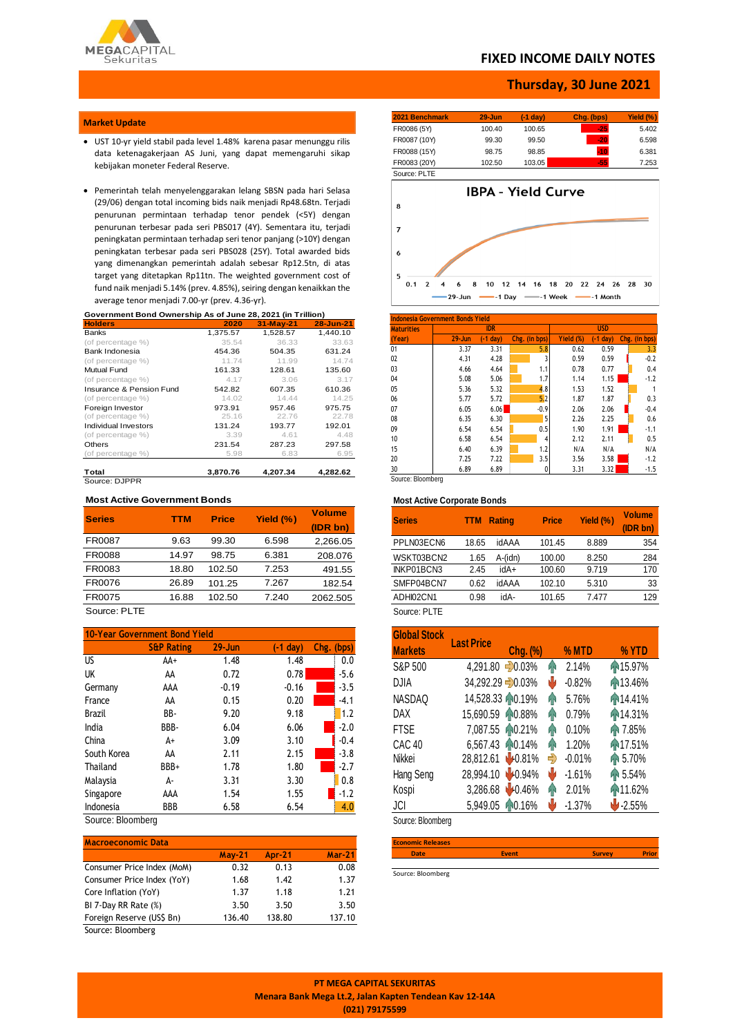

## **FIXED INCOME DAILY NOTES**

### **Thursday, 30 June 2021**

### **Market Update**

- UST 10-yr yield stabil pada level 1.48% karena pasar menunggu rilis data ketenagakerjaan AS Juni, yang dapat memengaruhi sikap kebijakan moneter Federal Reserve.
- Pemerintah telah menyelenggarakan lelang SBSN pada hari Selasa (29/06) dengan total incoming bids naik menjadi Rp48.68tn. Terjadi penurunan permintaan terhadap tenor pendek (<5Y) dengan penurunan terbesar pada seri PBS017 (4Y). Sementara itu, terjadi peningkatan permintaan terhadap seri tenor panjang (>10Y) dengan peningkatan terbesar pada seri PBS028 (25Y). Total awarded bids yang dimenangkan pemerintah adalah sebesar Rp12.5tn, di atas target yang ditetapkan Rp11tn. The weighted government cost of fund naik menjadi 5.14% (prev. 4.85%), seiring dengan kenaikkan the average tenor menjadi 7.00-yr (prev. 4.36-yr).

| Government Bond Ownership As of June 28, 2021 (in Trillion) |  |  |
|-------------------------------------------------------------|--|--|
|-------------------------------------------------------------|--|--|

| <b>Holders</b>           | 2020     | 31-May-21 | 28-Jun-21 |
|--------------------------|----------|-----------|-----------|
| <b>Banks</b>             | 1,375.57 | 1.528.57  | 1.440.10  |
| (of percentage %)        | 35.54    | 36.33     | 33.63     |
| Bank Indonesia           | 454.36   | 504.35    | 631.24    |
| (of percentage %)        | 11.74    | 11.99     | 14.74     |
| Mutual Fund              | 161.33   | 128.61    | 135.60    |
| (of percentage %)        | 4.17     | 3.06      | 3.17      |
| Insurance & Pension Fund | 542.82   | 607.35    | 610.36    |
| (of percentage %)        | 14.02    | 14.44     | 14.25     |
| Foreign Investor         | 973.91   | 957.46    | 975.75    |
| (of percentage %)        | 25.16    | 22.76     | 22.78     |
| Individual Investors     | 131.24   | 193.77    | 192.01    |
| (of percentage %)        | 3.39     | 4.61      | 4.48      |
| Others                   | 231.54   | 287.23    | 297.58    |
| (of percentage %)        | 5.98     | 6.83      | 6.95      |
| Total                    | 3.870.76 | 4.207.34  | 4.282.62  |
| Source: DJPPR            |          |           |           |

### **Most Active Government Bonds**

| <b>Series</b> | <b>TTM</b> | <b>Price</b> | Yield (%) | <b>Volume</b> |
|---------------|------------|--------------|-----------|---------------|
|               |            |              |           | (IDR bn)      |
| FR0087        | 9.63       | 99.30        | 6.598     | 2,266.05      |
| FR0088        | 14.97      | 98.75        | 6.381     | 208.076       |
| FR0083        | 18.80      | 102.50       | 7.253     | 491.55        |
| FR0076        | 26.89      | 101.25       | 7.267     | 182.54        |
| FR0075        | 16.88      | 102.50       | 7.240     | 2062.505      |
|               |            |              |           |               |

Source: PLTE

| 10-Year Government Bond Yield |                       |            |            |               |  |
|-------------------------------|-----------------------|------------|------------|---------------|--|
|                               | <b>S&amp;P Rating</b> | $29 - Jun$ | $(-1 day)$ | Chg.<br>(bps) |  |
| US.                           | AA+                   | 1.48       | 1.48       | 0.0           |  |
| UK                            | AA                    | 0.72       | 0.78       | $-5.6$        |  |
| Germany                       | AAA                   | $-0.19$    | $-0.16$    | $-3.5$        |  |
| France                        | AA                    | 0.15       | 0.20       | $-4.1$        |  |
| <b>Brazil</b>                 | BB-                   | 9.20       | 9.18       | 1.2           |  |
| India                         | BBB-                  | 6.04       | 6.06       | $-2.0$        |  |
| China                         | A+                    | 3.09       | 3.10       | $-0.4$        |  |
| South Korea                   | AA                    | 2.11       | 2.15       | $-3.8$        |  |
| Thailand                      | BBB+                  | 1.78       | 1.80       | $-2.7$        |  |
| Malaysia                      | Д-                    | 3.31       | 3.30       | 0.8           |  |
| Singapore                     | AAA                   | 1.54       | 1.55       | $-1.2$        |  |
| Indonesia                     | BBB                   | 6.58       | 6.54       | 4.0           |  |

Source: Bloomberg

| <b>Macroeconomic Data</b>  |          |               |               |
|----------------------------|----------|---------------|---------------|
|                            | $May-21$ | <b>Apr-21</b> | <b>Mar-21</b> |
| Consumer Price Index (MoM) | 0.32     | 0.13          | 0.08          |
| Consumer Price Index (YoY) | 1.68     | 1.42          | 1.37          |
| Core Inflation (YoY)       | 1.37     | 1.18          | 1.21          |
| BI 7-Day RR Rate (%)       | 3.50     | 3.50          | 3.50          |
| Foreign Reserve (US\$ Bn)  | 136.40   | 138.80        | 137.10        |

Source: Bloomberg

| 2021 Benchmark | $29 - Jun$ | $(-1 day)$ | Chg. (bps) | Yield (%) |
|----------------|------------|------------|------------|-----------|
| FR0086 (5Y)    | 100.40     | 100.65     | $-25$      | 5.402     |
| FR0087 (10Y)   | 99.30      | 99.50      | $-20$      | 6.598     |
| FR0088 (15Y)   | 98.75      | 98.85      | $-10$      | 6.381     |
| FR0083 (20Y)   | 102.50     | 103.05     | $-55$      | 7.253     |



| <b>Indonesia Government Bonds Yield</b> |            |            |               |           |            |               |
|-----------------------------------------|------------|------------|---------------|-----------|------------|---------------|
| <b>Maturities</b>                       |            | <b>IDR</b> |               |           | <b>USD</b> |               |
| (Year)                                  | $29 - Jun$ | $-1$ day)  | Chg. (in bps) | Yield (%) | (-1 dav)   | Chg. (in bps) |
| 01                                      | 3.37       | 3.31       | 5.8           | 0.62      | 0.59       | 3.3           |
| 02                                      | 4.31       | 4.28       |               | 0.59      | 0.59       | $-0.2$        |
| 03                                      | 4.66       | 4.64       | 1.1           | 0.78      | 0.77       | 0.4           |
| 04                                      | 5.08       | 5.06       | 1.7           | 1.14      | 1.15       | $-1.2$        |
| 05                                      | 5.36       | 5.32       | 4.8           | 1.53      | 1.52       |               |
| 06                                      | 5.77       | 5.72       | 5.2           | 1.87      | 1.87       | 0.3           |
| 07                                      | 6.05       | 6.06       | $-0.9$        | 2.06      | 2.06       | $-0.4$        |
| 08                                      | 6.35       | 6.30       | 5             | 2.26      | 2.25       | 0.6           |
| 09                                      | 6.54       | 6.54       | 0.5           | 1.90      | 1.91       | $-1.1$        |
| 10                                      | 6.58       | 6.54       | 4             | 2.12      | 2.11       | 0.5           |
| 15                                      | 6.40       | 6.39       | 1.2           | N/A       | N/A        | N/A           |
| 20                                      | 7.25       | 7.22       | 3.5           | 3.56      | 3.58       | $-1.2$        |
| 30                                      | 6.89       | 6.89       | 0             | 3.31      | 3.32       | $-1.5$        |
| Source: Bloomberg                       |            |            |               |           |            |               |

#### **Most Active Corporate Bonds**

| <b>Series</b> | <b>TTM</b> | <b>Rating</b> | <b>Price</b> | Yield (%) | <b>Volume</b><br>(IDR bn) |
|---------------|------------|---------------|--------------|-----------|---------------------------|
| PPLN03ECN6    | 18.65      | idAAA         | 101.45       | 8.889     | 354                       |
| WSKT03BCN2    | 1.65       | A-(idn)       | 100.00       | 8.250     | 284                       |
| INKP01BCN3    | 2.45       | idA+          | 100.60       | 9.719     | 170                       |
| SMFP04BCN7    | 0.62       | idAAA         | 102.10       | 5.310     | 33                        |
| ADHI02CN1     | 0.98       | idA-          | 101.65       | 7.477     | 129                       |
| Source: PLTE  |            |               |              |           |                           |

| <b>Global Stock</b> | <b>Last Price</b> |                       |          |          |
|---------------------|-------------------|-----------------------|----------|----------|
| <b>Markets</b>      |                   | Chg. (%)              | % MTD    | % YTD    |
| S&P 500             | 4,291.80 - 0.03%  | ٩N                    | 2.14%    | ₼15.97%  |
| DJIA                | 34,292.29 - 0.03% | ψ                     | $-0.82%$ | ₼13.46%  |
| NASDAQ              | 14,528.33 10.19%  | Ŧ                     | 5.76%    | 14.41%   |
| DAX                 | 15,690.59 10.88%  | qр                    | 0.79%    | ₼ 14.31% |
| <b>FTSE</b>         | 7,087.55 0.21%    | hР                    | 0.10%    | ↑ 7.85%  |
| CAC <sub>40</sub>   | 6,567.43 10.14%   | hР                    | 1.20%    | ₼17.51%  |
| Nikkei              | 28,812.61 40.81%  | ♣                     | $-0.01%$ | 1 5.70%  |
| Hang Seng           | 28,994.10 0.94%   | U                     | $-1.61%$ | 1 5.54%  |
| Kospi               |                   | 3,286.68 -0.46%<br>ЯÑ | 2.01%    | 11.62%   |
| JCI                 | 5,949.05 10.16%   |                       | $-1.37%$ | $-2.55%$ |

Source: Bloomberg

| <b>Economic Releases</b> |              |               |              |  |  |  |
|--------------------------|--------------|---------------|--------------|--|--|--|
| <b>Date</b>              | <b>Event</b> | <b>Survey</b> | <b>Prior</b> |  |  |  |
|                          |              |               |              |  |  |  |

Source: Bloomberg

**PT MEGA CAPITAL SEKURITAS Menara Bank Mega Lt.2, Jalan Kapten Tendean Kav 12-14A (021) 79175599**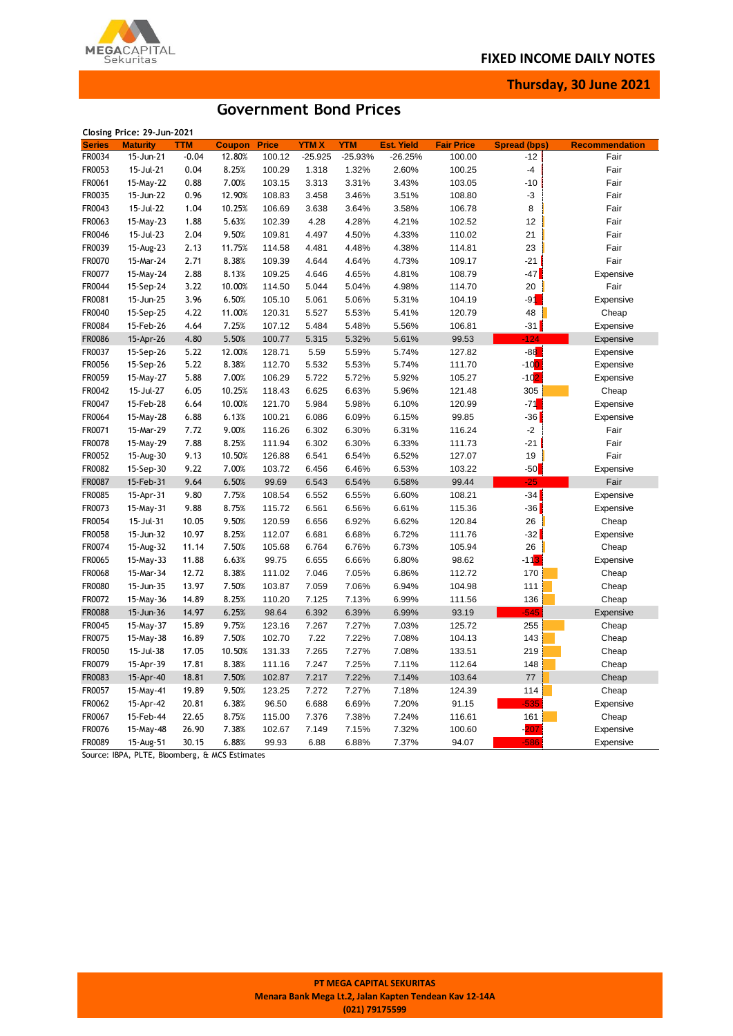MEGACAPITAL

**Thursday, 30 June 2021**

# **Government Bond Prices**

|               | Closing Price: 29-Jun-2021 |         |               |              |             |            |                   |                   |                     |                       |
|---------------|----------------------------|---------|---------------|--------------|-------------|------------|-------------------|-------------------|---------------------|-----------------------|
| <b>Series</b> | <b>Maturity</b>            | TTM     | <b>Coupon</b> | <b>Price</b> | <b>YTMX</b> | <b>YTM</b> | <b>Est. Yield</b> | <b>Fair Price</b> | <b>Spread (bps)</b> | <b>Recommendation</b> |
| FR0034        | 15-Jun-21                  | $-0.04$ | 12.80%        | 100.12       | $-25.925$   | $-25.93%$  | $-26.25%$         | 100.00            | $-12$               | Fair                  |
| FR0053        | 15-Jul-21                  | 0.04    | 8.25%         | 100.29       | 1.318       | 1.32%      | 2.60%             | 100.25            | $-4$                | Fair                  |
| FR0061        | 15-May-22                  | 0.88    | 7.00%         | 103.15       | 3.313       | 3.31%      | 3.43%             | 103.05            | $-10$               | Fair                  |
| FR0035        | 15-Jun-22                  | 0.96    | 12.90%        | 108.83       | 3.458       | 3.46%      | 3.51%             | 108.80            | -3                  | Fair                  |
| FR0043        | 15-Jul-22                  | 1.04    | 10.25%        | 106.69       | 3.638       | 3.64%      | 3.58%             | 106.78            | 8                   | Fair                  |
| FR0063        | 15-May-23                  | 1.88    | 5.63%         | 102.39       | 4.28        | 4.28%      | 4.21%             | 102.52            | 12                  | Fair                  |
| FR0046        | 15-Jul-23                  | 2.04    | 9.50%         | 109.81       | 4.497       | 4.50%      | 4.33%             | 110.02            | 21                  | Fair                  |
| FR0039        | 15-Aug-23                  | 2.13    | 11.75%        | 114.58       | 4.481       | 4.48%      | 4.38%             | 114.81            | 23                  | Fair                  |
| FR0070        | 15-Mar-24                  | 2.71    | 8.38%         | 109.39       | 4.644       | 4.64%      | 4.73%             | 109.17            | $-21$               | Fair                  |
| FR0077        | 15-May-24                  | 2.88    | 8.13%         | 109.25       | 4.646       | 4.65%      | 4.81%             | 108.79            | $-47$               | Expensive             |
| FR0044        | 15-Sep-24                  | 3.22    | 10.00%        | 114.50       | 5.044       | 5.04%      | 4.98%             | 114.70            | 20                  | Fair                  |
| FR0081        | 15-Jun-25                  | 3.96    | 6.50%         | 105.10       | 5.061       | 5.06%      | 5.31%             | 104.19            | -91                 | Expensive             |
| FR0040        | 15-Sep-25                  | 4.22    | 11.00%        | 120.31       | 5.527       | 5.53%      | 5.41%             | 120.79            | 48                  | Cheap                 |
| FR0084        | 15-Feb-26                  | 4.64    | 7.25%         | 107.12       | 5.484       | 5.48%      | 5.56%             | 106.81            | $-31$               | Expensive             |
| <b>FR0086</b> | 15-Apr-26                  | 4.80    | 5.50%         | 100.77       | 5.315       | 5.32%      | 5.61%             | 99.53             | $-124$              | Expensive             |
| FR0037        | 15-Sep-26                  | 5.22    | 12.00%        | 128.71       | 5.59        | 5.59%      | 5.74%             | 127.82            | $-88$               | Expensive             |
| FR0056        | 15-Sep-26                  | 5.22    | 8.38%         | 112.70       | 5.532       | 5.53%      | 5.74%             | 111.70            | $-10$ <sup>O</sup>  | Expensive             |
| FR0059        | 15-May-27                  | 5.88    | 7.00%         | 106.29       | 5.722       | 5.72%      | 5.92%             | 105.27            | $-102$              | Expensive             |
| FR0042        | 15-Jul-27                  | 6.05    | 10.25%        | 118.43       | 6.625       | 6.63%      | 5.96%             | 121.48            | 305                 | Cheap                 |
| FR0047        |                            |         |               |              |             |            |                   |                   | $-71$               |                       |
|               | 15-Feb-28                  | 6.64    | 10.00%        | 121.70       | 5.984       | 5.98%      | 6.10%             | 120.99            |                     | Expensive             |
| FR0064        | 15-May-28                  | 6.88    | 6.13%         | 100.21       | 6.086       | 6.09%      | 6.15%             | 99.85             | $-36$               | Expensive             |
| FR0071        | 15-Mar-29                  | 7.72    | 9.00%         | 116.26       | 6.302       | 6.30%      | 6.31%             | 116.24            | $-2$                | Fair                  |
| FR0078        | 15-May-29                  | 7.88    | 8.25%         | 111.94       | 6.302       | 6.30%      | 6.33%             | 111.73            | $-21$               | Fair                  |
| FR0052        | 15-Aug-30                  | 9.13    | 10.50%        | 126.88       | 6.541       | 6.54%      | 6.52%             | 127.07            | 19                  | Fair                  |
| FR0082        | 15-Sep-30                  | 9.22    | 7.00%         | 103.72       | 6.456       | 6.46%      | 6.53%             | 103.22            | $-50$               | Expensive             |
| FR0087        | 15-Feb-31                  | 9.64    | 6.50%         | 99.69        | 6.543       | 6.54%      | 6.58%             | 99.44             | $-25$               | Fair                  |
| FR0085        | 15-Apr-31                  | 9.80    | 7.75%         | 108.54       | 6.552       | 6.55%      | 6.60%             | 108.21            | $-34$               | Expensive             |
| FR0073        | 15-May-31                  | 9.88    | 8.75%         | 115.72       | 6.561       | 6.56%      | 6.61%             | 115.36            | -36                 | Expensive             |
| FR0054        | 15-Jul-31                  | 10.05   | 9.50%         | 120.59       | 6.656       | 6.92%      | 6.62%             | 120.84            | 26                  | Cheap                 |
| FR0058        | 15-Jun-32                  | 10.97   | 8.25%         | 112.07       | 6.681       | 6.68%      | 6.72%             | 111.76            | $-32$               | Expensive             |
| FR0074        | 15-Aug-32                  | 11.14   | 7.50%         | 105.68       | 6.764       | 6.76%      | 6.73%             | 105.94            | 26                  | Cheap                 |
| FR0065        | 15-May-33                  | 11.88   | 6.63%         | 99.75        | 6.655       | 6.66%      | 6.80%             | 98.62             | $-113$              | Expensive             |
| FR0068        | 15-Mar-34                  | 12.72   | 8.38%         | 111.02       | 7.046       | 7.05%      | 6.86%             | 112.72            | 170                 | Cheap                 |
| FR0080        | 15-Jun-35                  | 13.97   | 7.50%         | 103.87       | 7.059       | 7.06%      | 6.94%             | 104.98            | 111                 | Cheap                 |
| FR0072        | 15-May-36                  | 14.89   | 8.25%         | 110.20       | 7.125       | 7.13%      | 6.99%             | 111.56            | 136                 | Cheap                 |
| <b>FR0088</b> | 15-Jun-36                  | 14.97   | 6.25%         | 98.64        | 6.392       | 6.39%      | 6.99%             | 93.19             | $-545$              | Expensive             |
| FR0045        | 15-May-37                  | 15.89   | 9.75%         | 123.16       | 7.267       | 7.27%      | 7.03%             | 125.72            | 255                 | Cheap                 |
| FR0075        | 15-May-38                  | 16.89   | 7.50%         | 102.70       | 7.22        | 7.22%      | 7.08%             | 104.13            | 143                 | Cheap                 |
| FR0050        | 15-Jul-38                  | 17.05   | 10.50%        | 131.33       | 7.265       | 7.27%      | 7.08%             | 133.51            | 219                 | Cheap                 |
| FR0079        | 15-Apr-39                  | 17.81   | 8.38%         | 111.16       | 7.247       | 7.25%      | 7.11%             | 112.64            | 148                 | Cheap                 |
| FR0083        | 15-Apr-40                  | 18.81   | 7.50%         | 102.87       | 7.217       | 7.22%      | 7.14%             | 103.64            | 77                  | Cheap                 |
| FR0057        | 15-May-41                  | 19.89   | 9.50%         | 123.25       | 7.272       | 7.27%      | 7.18%             | 124.39            | 114                 | Cheap                 |
| FR0062        | 15-Apr-42                  | 20.81   | 6.38%         | 96.50        | 6.688       | 6.69%      | 7.20%             | 91.15             | $-535$              | Expensive             |
| FR0067        | 15-Feb-44                  | 22.65   | 8.75%         | 115.00       | 7.376       | 7.38%      | 7.24%             | 116.61            | 161                 | Cheap                 |
| FR0076        | 15-May-48                  | 26.90   | 7.38%         | 102.67       | 7.149       | 7.15%      | 7.32%             | 100.60            | -207                | Expensive             |
| FR0089        | 15-Aug-51                  | 30.15   | 6.88%         | 99.93        | 6.88        | 6.88%      | 7.37%             | 94.07             | $-586$              | Expensive             |

Source: IBPA, PLTE, Bloomberg, & MCS Estimates